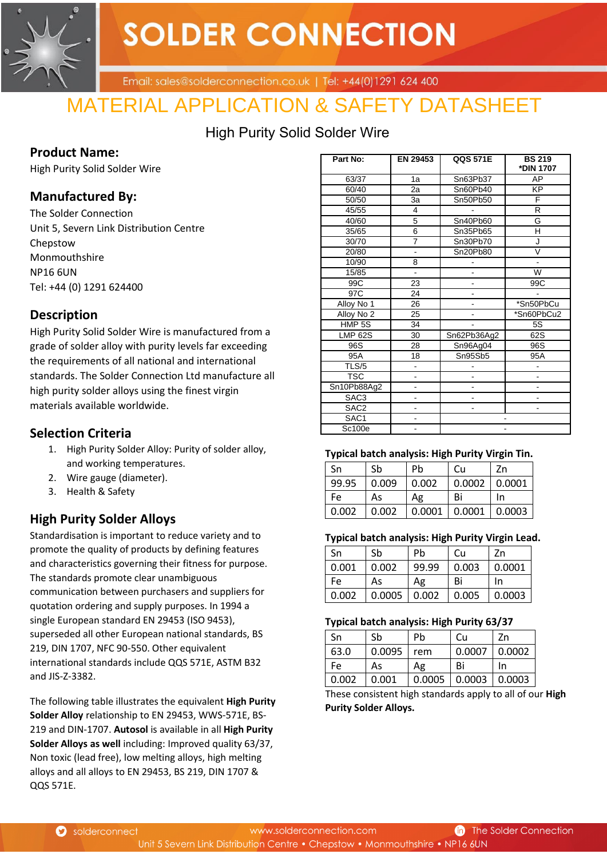

# **SOLDER CONNECTION**

Email: sales@solderconnection.co.uk | Tel: +44(0)1291 624 400

## MATERIAL APPLICATION & SAFETY DATASHEET

High Purity Solid Solder Wire

## **Product Name:**

High Purity Solid Solder Wire

## **Manufactured By:**

The Solder Connection Unit 5, Severn Link Distribution Centre Chepstow Monmouthshire NP16 6UN Tel: +44 (0) 1291 624400

## **Description**

High Purity Solid Solder Wire is manufactured from a grade of solder alloy with purity levels far exceeding the requirements of all national and international standards. The Solder Connection Ltd manufacture all high purity solder alloys using the finest virgin materials available worldwide.

## **Selection Criteria**

- 1. High Purity Solder Alloy: Purity of solder alloy, and working temperatures.
- 2. Wire gauge (diameter).
- 3. Health & Safety

## **High Purity Solder Alloys**

Standardisation is important to reduce variety and to promote the quality of products by defining features and characteristics governing their fitness for purpose. The standards promote clear unambiguous communication between purchasers and suppliers for quotation ordering and supply purposes. In 1994 a single European standard EN 29453 (ISO 9453), superseded all other European national standards, BS 219, DIN 1707, NFC 90-550. Other equivalent international standards include QQS 571E, ASTM B32 and JIS-Z-3382.

The following table illustrates the equivalent **High Purity Solder Alloy** relationship to EN 29453, WWS-571E, BS-219 and DIN-1707. **Autosol** is available in all **High Purity Solder Alloys as well** including: Improved quality 63/37, Non toxic (lead free), low melting alloys, high melting alloys and all alloys to EN 29453, BS 219, DIN 1707 & QQS 571E.

| Part No:         | EN 29453       | <b>QQS 571E</b> | <b>BS 219</b><br>*DIN 1707 |
|------------------|----------------|-----------------|----------------------------|
| 63/37            | 1a             | Sn63Pb37        | AP                         |
| 60/40            | 2a             | Sn60Pb40        | $\overline{KP}$            |
| 50/50            | За             | Sn50Pb50        | F                          |
| 45/55            | 4              |                 | R                          |
| 40/60            | 5              | Sn40Pb60        | G                          |
| 35/65            | 6              | Sn35Pb65        | н                          |
| 30/70            | $\overline{7}$ | Sn30Pb70        | J                          |
| 20/80            | $\overline{a}$ | Sn20Pb80        | V                          |
| 10/90            | 8              |                 | $\blacksquare$             |
| 15/85            | ÷,             |                 | W                          |
| 99C              | 23             |                 | 99C                        |
| 97C              | 24             |                 |                            |
| Alloy No 1       | 26             | $\overline{a}$  | *Sn50PbCu                  |
| Alloy No 2       | 25             | -               | *Sn60PbCu2                 |
| HMP 5S           | 34             |                 | 5S                         |
| <b>LMP 62S</b>   | 30             | Sn62Pb36Ag2     | 62S                        |
| 96S              | 28             | Sn96Ag04        | 96S                        |
| 95A              | 18             | Sn95Sb5         | 95A                        |
| TLS/5            | ÷              |                 |                            |
| <b>TSC</b>       |                |                 |                            |
| Sn10Pb88Ag2      |                | ٠               | -                          |
| SAC3             | -              | -               |                            |
| SAC <sub>2</sub> |                |                 |                            |
| SAC1             |                |                 |                            |
| Sc100e           |                |                 |                            |

#### **Typical batch analysis: High Purity Virgin Tin.**

| -Sn   | Sb    | Pb    | Cu                             | Zn |
|-------|-------|-------|--------------------------------|----|
| 99.95 | 0.009 | 0.002 | $0.0002$   $0.0001$            |    |
| Fe    | As    | Ag    | Bi                             | In |
| 0.002 | 0.002 |       | $0.0001$   $0.0001$   $0.0003$ |    |

#### **Typical batch analysis: High Purity Virgin Lead.**

| Sn    | Sb     | Pb    | Cu    | Zn     |
|-------|--------|-------|-------|--------|
| 0.001 | 0.002  | 99.99 | 0.003 | 0.0001 |
| Fe    | As     | Ag    | Bi    | In     |
| 0.002 | 0.0005 | 0.002 | 0.005 | 0.0003 |

#### **Typical batch analysis: High Purity 63/37**

| - -   |        |        |        |        |
|-------|--------|--------|--------|--------|
| Sn    | Sb     | Pb     | Cu     | Zn     |
| 63.0  | 0.0095 | rem    | 0.0007 | 0.0002 |
| Fe    | As     | Αg     | Bi     | In     |
| 0.002 | 0.001  | 0.0005 | 0.0003 | 0.0003 |

These consistent high standards apply to all of our **High Purity Solder Alloys.** 

Solderconnect